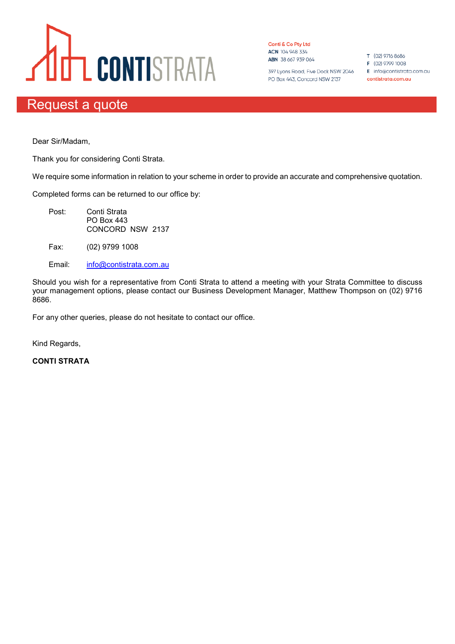## **ULT CONTISTRATA**

Conti & Co Pty Ltd ACN 104 948 334 ABN 38 667 939 064

397 Lyons Road, Five Dock NSW 2046 E info@contistrata.com.au PO Box 443, Concord NSW 2137

T (02) 9716 8686

- F (02) 9799 1008
- contistrata.com.au

## Request a quote

Dear Sir/Madam,

Thank you for considering Conti Strata.

We require some information in relation to your scheme in order to provide an accurate and comprehensive quotation.

Completed forms can be returned to our office by:

- Post: Conti Strata PO Box 443 CONCORD NSW 2137
- Fax: (02) 9799 1008
- Email: info@contistrata.com.au

Should you wish for a representative from Conti Strata to attend a meeting with your Strata Committee to discuss your management options, please contact our Business Development Manager, Matthew Thompson on (02) 9716 8686.

For any other queries, please do not hesitate to contact our office.

Kind Regards,

**CONTI STRATA**